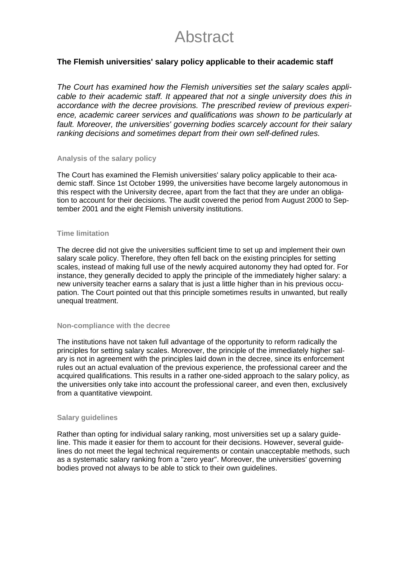# Abstract

# **The Flemish universities' salary policy applicable to their academic staff**

*The Court has examined how the Flemish universities set the salary scales applicable to their academic staff. It appeared that not a single university does this in accordance with the decree provisions. The prescribed review of previous experience, academic career services and qualifications was shown to be particularly at fault. Moreover, the universities' governing bodies scarcely account for their salary ranking decisions and sometimes depart from their own self-defined rules.* 

## **Analysis of the salary policy**

The Court has examined the Flemish universities' salary policy applicable to their academic staff. Since 1st October 1999, the universities have become largely autonomous in this respect with the University decree, apart from the fact that they are under an obligation to account for their decisions. The audit covered the period from August 2000 to September 2001 and the eight Flemish university institutions.

### **Time limitation**

The decree did not give the universities sufficient time to set up and implement their own salary scale policy. Therefore, they often fell back on the existing principles for setting scales, instead of making full use of the newly acquired autonomy they had opted for. For instance, they generally decided to apply the principle of the immediately higher salary: a new university teacher earns a salary that is just a little higher than in his previous occupation. The Court pointed out that this principle sometimes results in unwanted, but really unequal treatment.

#### **Non-compliance with the decree**

The institutions have not taken full advantage of the opportunity to reform radically the principles for setting salary scales. Moreover, the principle of the immediately higher salary is not in agreement with the principles laid down in the decree, since its enforcement rules out an actual evaluation of the previous experience, the professional career and the acquired qualifications. This results in a rather one-sided approach to the salary policy, as the universities only take into account the professional career, and even then, exclusively from a quantitative viewpoint.

#### **Salary guidelines**

Rather than opting for individual salary ranking, most universities set up a salary guideline. This made it easier for them to account for their decisions. However, several guidelines do not meet the legal technical requirements or contain unacceptable methods, such as a systematic salary ranking from a "zero year". Moreover, the universities' governing bodies proved not always to be able to stick to their own guidelines.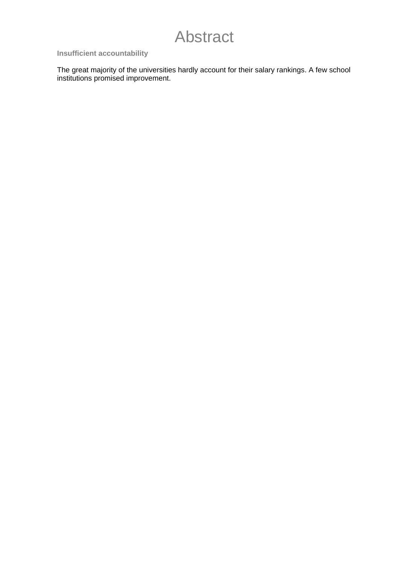# Abstract

# **Insufficient accountability**

The great majority of the universities hardly account for their salary rankings. A few school institutions promised improvement.